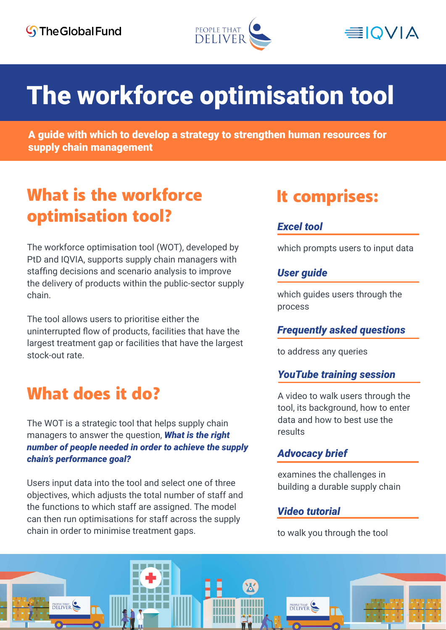



# The workforce optimisation tool

A guide with which to develop a strategy to strengthen human resources for supply chain management

### What is the workforce optimisation tool?

The workforce optimisation tool (WOT), developed by PtD and IQVIA, supports supply chain managers with staffing decisions and scenario analysis to improve the delivery of products within the public-sector supply chain.

The tool allows users to prioritise either the uninterrupted flow of products, facilities that have the largest treatment gap or facilities that have the largest stock-out rate.

### What does it do?

The WOT is a strategic tool that helps supply chain managers to answer the question, *What is the right number of people needed in order to achieve the supply chain's performance goal?*

Users input data into the tool and select one of three objectives, which adjusts the total number of staff and the functions to which staff are assigned. The model can then run optimisations for staff across the supply chain in order to minimise treatment gaps.

### It comprises:

### *Excel tool*

which prompts users to input data

#### *User guide*

which guides users through the process

#### *Frequently asked questions*

to address any queries

#### *YouTube training session*

A video to walk users through the tool, its background, how to enter data and how to best use the results

#### *Advocacy brief*

examines the challenges in building a durable supply chain

#### *Video tutorial*

to walk you through the tool